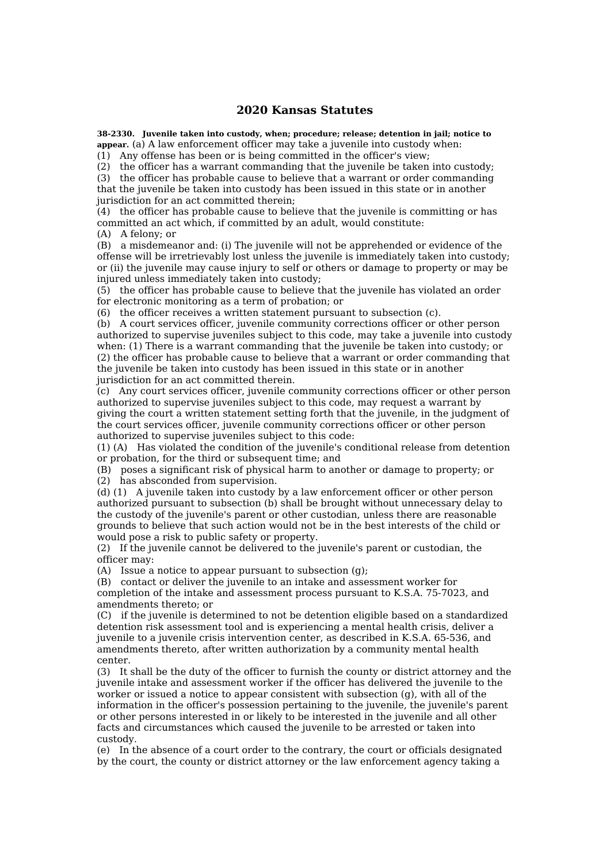## **2020 Kansas Statutes**

**38-2330. Juvenile taken into custody, when; procedure; release; detention in jail; notice to appear.** (a) A law enforcement officer may take a juvenile into custody when:

(1) Any offense has been or is being committed in the officer's view;

(2) the officer has a warrant commanding that the juvenile be taken into custody;

(3) the officer has probable cause to believe that a warrant or order commanding that the juvenile be taken into custody has been issued in this state or in another jurisdiction for an act committed therein;

(4) the officer has probable cause to believe that the juvenile is committing or has committed an act which, if committed by an adult, would constitute:

(A) A felony; or

(B) a misdemeanor and: (i) The juvenile will not be apprehended or evidence of the offense will be irretrievably lost unless the juvenile is immediately taken into custody; or (ii) the juvenile may cause injury to self or others or damage to property or may be injured unless immediately taken into custody;

(5) the officer has probable cause to believe that the juvenile has violated an order for electronic monitoring as a term of probation; or

(6) the officer receives a written statement pursuant to subsection (c).

(b) A court services officer, juvenile community corrections officer or other person authorized to supervise juveniles subject to this code, may take a juvenile into custody when: (1) There is a warrant commanding that the juvenile be taken into custody; or (2) the officer has probable cause to believe that a warrant or order commanding that the juvenile be taken into custody has been issued in this state or in another jurisdiction for an act committed therein.

(c) Any court services officer, juvenile community corrections officer or other person authorized to supervise juveniles subject to this code, may request a warrant by giving the court a written statement setting forth that the juvenile, in the judgment of the court services officer, juvenile community corrections officer or other person authorized to supervise juveniles subject to this code:

(1) (A) Has violated the condition of the juvenile's conditional release from detention or probation, for the third or subsequent time; and

(B) poses a significant risk of physical harm to another or damage to property; or (2) has absconded from supervision.

(d) (1) A juvenile taken into custody by a law enforcement officer or other person authorized pursuant to subsection (b) shall be brought without unnecessary delay to the custody of the juvenile's parent or other custodian, unless there are reasonable grounds to believe that such action would not be in the best interests of the child or would pose a risk to public safety or property.

(2) If the juvenile cannot be delivered to the juvenile's parent or custodian, the officer may:

(A) Issue a notice to appear pursuant to subsection (g);

(B) contact or deliver the juvenile to an intake and assessment worker for completion of the intake and assessment process pursuant to K.S.A. 75-7023, and amendments thereto; or

(C) if the juvenile is determined to not be detention eligible based on a standardized detention risk assessment tool and is experiencing a mental health crisis, deliver a juvenile to a juvenile crisis intervention center, as described in K.S.A. 65-536, and amendments thereto, after written authorization by a community mental health center.

(3) It shall be the duty of the officer to furnish the county or district attorney and the juvenile intake and assessment worker if the officer has delivered the juvenile to the worker or issued a notice to appear consistent with subsection  $(a)$ , with all of the information in the officer's possession pertaining to the juvenile, the juvenile's parent or other persons interested in or likely to be interested in the juvenile and all other facts and circumstances which caused the juvenile to be arrested or taken into custody.

(e) In the absence of a court order to the contrary, the court or officials designated by the court, the county or district attorney or the law enforcement agency taking a